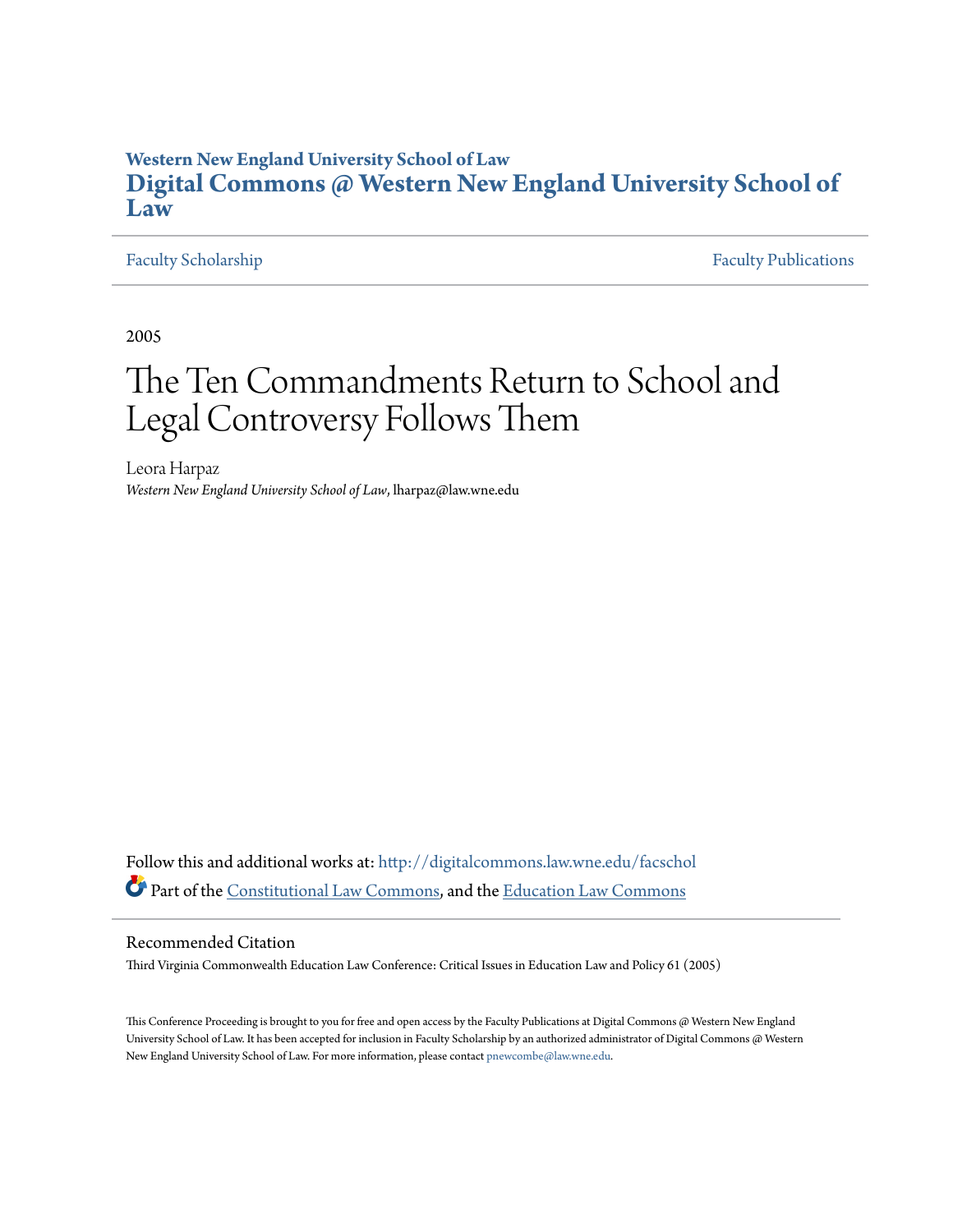### **Western New England University School of Law [Digital Commons @ Western New England University School of](http://digitalcommons.law.wne.edu?utm_source=digitalcommons.law.wne.edu%2Ffacschol%2F88&utm_medium=PDF&utm_campaign=PDFCoverPages) [Law](http://digitalcommons.law.wne.edu?utm_source=digitalcommons.law.wne.edu%2Ffacschol%2F88&utm_medium=PDF&utm_campaign=PDFCoverPages)**

[Faculty Scholarship](http://digitalcommons.law.wne.edu/facschol?utm_source=digitalcommons.law.wne.edu%2Ffacschol%2F88&utm_medium=PDF&utm_campaign=PDFCoverPages) [Faculty Publications](http://digitalcommons.law.wne.edu/facpubs?utm_source=digitalcommons.law.wne.edu%2Ffacschol%2F88&utm_medium=PDF&utm_campaign=PDFCoverPages)

2005

## The Ten Commandments Return to School and Legal Controversy Follows Them

Leora Harpaz *Western New England University School of Law*, lharpaz@law.wne.edu

Follow this and additional works at: [http://digitalcommons.law.wne.edu/facschol](http://digitalcommons.law.wne.edu/facschol?utm_source=digitalcommons.law.wne.edu%2Ffacschol%2F88&utm_medium=PDF&utm_campaign=PDFCoverPages) Part of the [Constitutional Law Commons,](http://network.bepress.com/hgg/discipline/589?utm_source=digitalcommons.law.wne.edu%2Ffacschol%2F88&utm_medium=PDF&utm_campaign=PDFCoverPages) and the [Education Law Commons](http://network.bepress.com/hgg/discipline/596?utm_source=digitalcommons.law.wne.edu%2Ffacschol%2F88&utm_medium=PDF&utm_campaign=PDFCoverPages)

### Recommended Citation

Third Virginia Commonwealth Education Law Conference: Critical Issues in Education Law and Policy 61 (2005)

This Conference Proceeding is brought to you for free and open access by the Faculty Publications at Digital Commons @ Western New England University School of Law. It has been accepted for inclusion in Faculty Scholarship by an authorized administrator of Digital Commons @ Western New England University School of Law. For more information, please contact [pnewcombe@law.wne.edu](mailto:pnewcombe@law.wne.edu).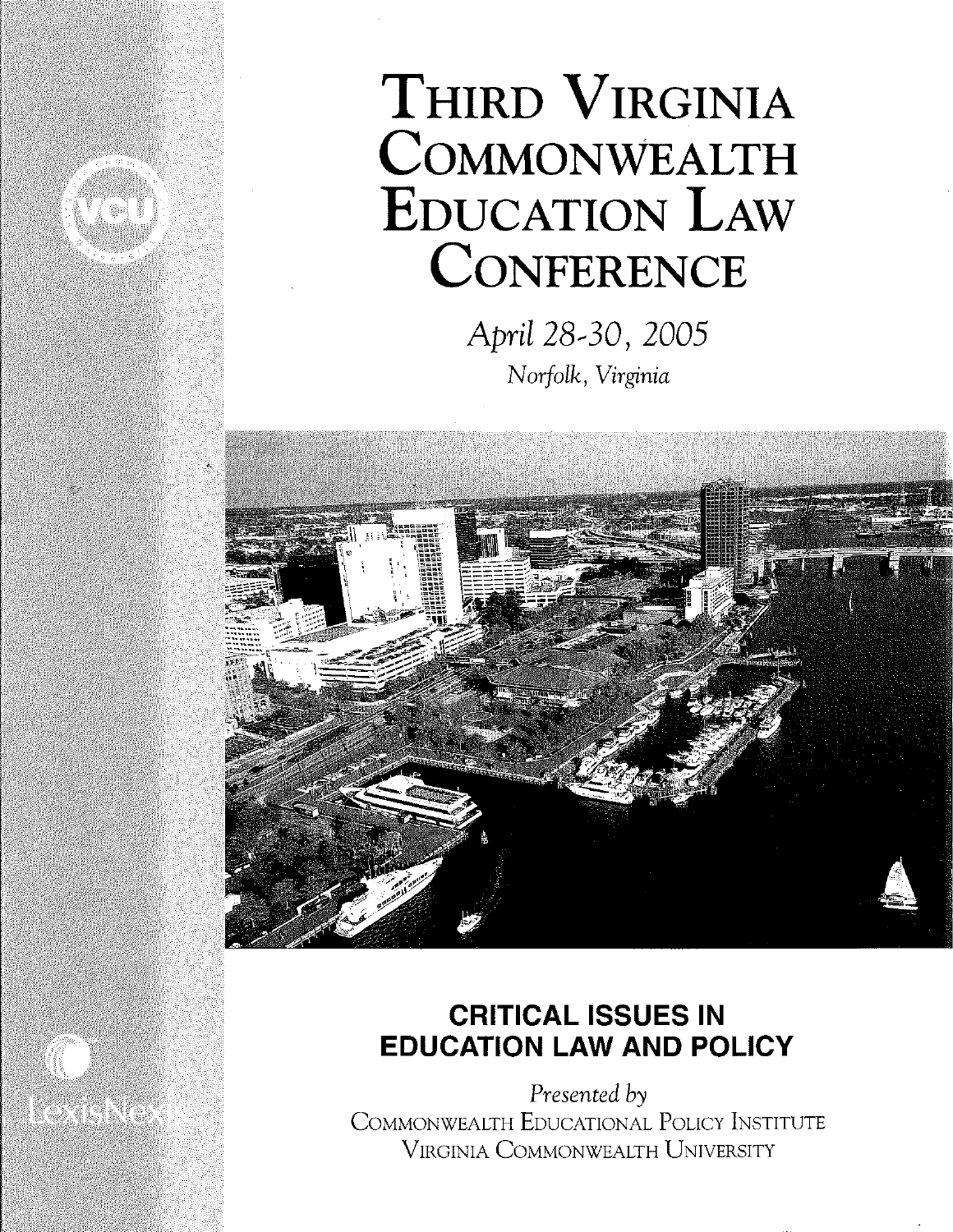

# **THIRD VIRGINIA COMMONWEALTH EDUCATION LAW CONFERENCE**

April 28-30, 2005 *Norfolk, Virginia* 



## **CRITICAL ISSUES IN EDUCATION LAW AND POLICY**

*Presented by*  COMMONWEALTH EDUCATIONAL POLICY INSTITUTE VIRGINIA COMMONWEALTH UNIVERSITY

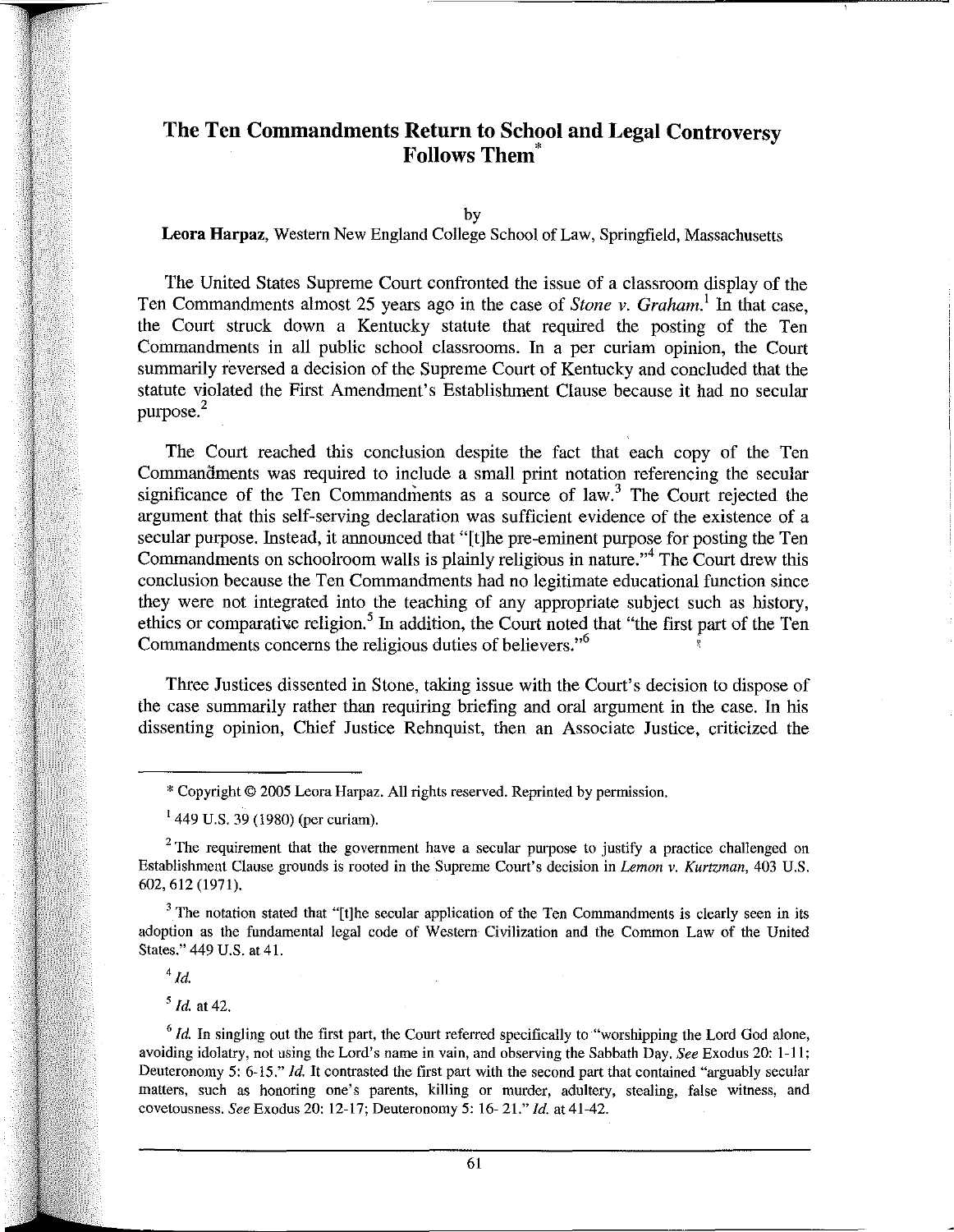### **The Ten Commandments Return to School and Legal Controversy Follows Them'**

by

### **Leora Harpaz,** Western New England College School of Law, Springfield, Massachusetts

The United States Supreme Court confronted the issue of a classroom display of the Ten Commandments almost 25 years ago in the case of *Stone v. Graham.!* In that case, the Court struck down a Kentucky statute that required the posting of the Ten Commandments in all public school classrooms. In a per curiam opinion, the Court summarily reversed a decision of the Supreme Court of Kentucky and concluded that the statute violated the First Amendment's Establishment Clause because it had no secular purpose.<sup>2</sup>

The Court reached this conclusion despite the fact that each copy of the Ten Commandments was required to include a small print notation referencing the secular significance of the Ten Commandments as a source of  $law$ .<sup>3</sup> The Court rejected the argument that this self-serving declaration was sufficient evidence of the existence of a secular purpose. Instead, it announced that "[t]he pre-eminent purpose for posting the Ten Commandments on schoolroom walls is plainly religious in nature."<sup>4</sup> The Court drew this conclusion because the Ten Commandments had no legitimate educational function since they were not integrated into the teaching of any appropriate subject such as history, ethics or comparative religion.<sup>5</sup> In addition, the Court noted that "the first part of the Ten Commandments concerns the religious duties of believers."<sup>6</sup>

Three Justices dissented in Stone, taking issue with the Court's decision to dispose of the case summarily rather than requiring briefing and oral argument in the case. **In** his dissenting opinion, Chief Justice Rehnquist, then an Associate Justice, criticized the

 $3$  The notation stated that "[t]he secular application of the Ten Commandments is clearly seen in its adoption as the fundamental legal code of Western Civilization and the Common Law of the United States." 449 U.S. at 41.

 $4$ Id.

*5 [d.* at 42.

<sup>6</sup> *Id.* In singling out the first part, the Court referred specifically to "worshipping the Lord God alone, avoiding idolatry, not using the Lord's name in vain, and observing the Sabbath Day. *See* Exodus 20: I-II; Deuteronomy 5: 6-15." *[d.* It contrasted the first part with the second part that contained "arguably secular **matters, such as honoring one's parents, killing or murder, adultery, stealing, false witness, and**  covetousness. *See* Exodus 20: 12-17; Deuteronomy 5: 16- 21." *[d.* at 41-42.

<sup>\*</sup>Copyright © 2005 Leora Harpaz. All rights reserved. Reprinted by permission.

 $1449$  U.S. 39 (1980) (per curiam).

 $2$  The requirement that the government have a secular purpose to justify a practice challenged on Establishment Clause grounds is rooted in the Supreme Court's decision in *Lemon* v. *Kurtzman,* 403 U.S. 602,612 (1971).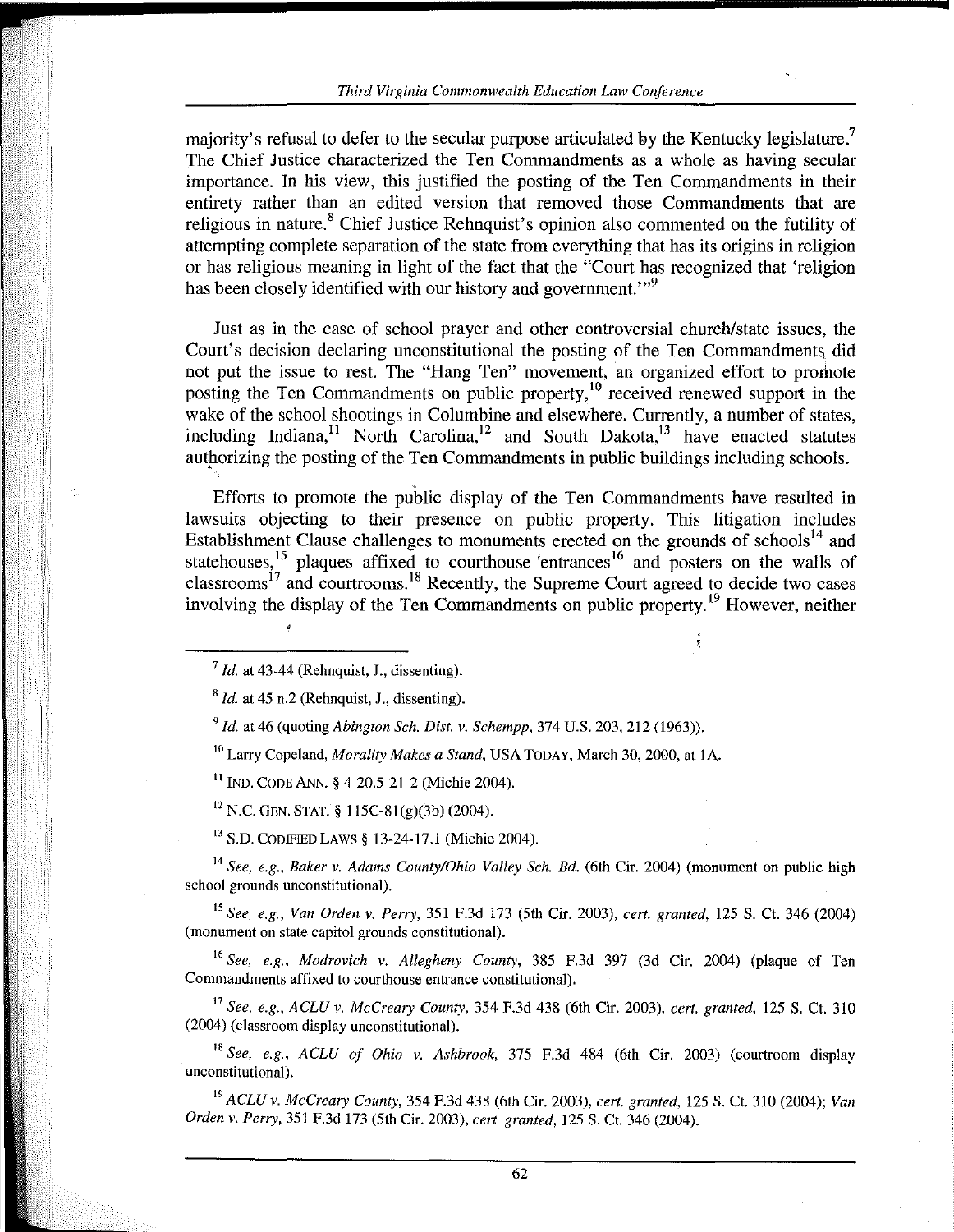majority's refusal to defer to the secular purpose articulated by the Kentucky legislature.<sup>7</sup> The Chief Justice characterized the Ten Commandments as a whole as having secular importance. In his view, this justified the posting of the Ten Commandments in their entirety rather than an edited version that removed those Commandments that are religious in nature.<sup>8</sup> Chief Justice Rehnquist's opinion also commented on the futility of attempting complete separation of the state from everything that has its origins in religion or has religious meaning in light of the fact that the "Court has recognized that 'religion has been closely identified with our history and government."<sup>9</sup>

Just as in the case of school prayer and other controversial church/state issues, the Court's decision declaring unconstitutional the posting of the Ten Commandments. did not put the issue to rest. The "Hang Ten" movement, an organized effort to promote posting the Ten Commandments on public property,<sup>10</sup> received renewed support in the wake of the school shootings in Columbine and elsewhere. Currently, a number of states, including Indiana,<sup>11</sup> North Carolina,<sup>12</sup> and South Dakota,<sup>13</sup> have enacted statutes authorizing the posting of the Ten Commandments in public buildings including schools.

Efforts to promote the public display of the Ten Commandments have resulted in lawsuits objecting to their presence on public property. This litigation includes Establishment Clause challenges to monuments erected on the grounds of schools<sup>14</sup> and statehouses,<sup>15</sup> plaques affixed to courthouse 'entrances<sup>16</sup> and posters on the walls of classrooms<sup>17</sup> and courtrooms.<sup>18</sup> Recently, the Supreme Court agreed to decide two cases involving the display of the Ten Commandments on public property.<sup>19</sup> However, neither

10 Larry Copeland, *Morality Makes a Stand,* USA TODAY, March 30, 2000, at IA.

1! IND. CODE ANN. § 4-20.5-21-2 (Michie 2004).

 $12$  N.C. GEN. STAT. § 115C-81(g)(3b) (2004).

<sup>13</sup> S.D. CODIFIED LAWS § 13-24-17.1 (Michie 2004).

<sup>14</sup> See, e.g., Baker v. Adams County/Ohio Valley Sch. Bd. (6th Cir. 2004) (monument on public high school grounds unconstitutional).

<sup>15</sup>*See. e.g., Van Orden v. Perry,* 351 F.3d 173 (5th Cir. 2003), *cert. granted,* 125 S. Ct. 346 (2004) (monument on state capitol grounds constitutional).

*16 See, e.g., Modrovich v. Allegheny County,* 385 F.3d 397 (3d Cir. 2004) (plaque of Ten Commandments affixed to courthouse entrance constitutional).

<sup>17</sup>*See, e.g., ACLU v. McCreary County,* 354 F.3d 438 (6th Cir. 2003), *cert. granted,* 125 S. Ct. 310 (2004) (classroom display unconstitutional).

<sup>18</sup>*See, e.g., ACLU of Ohio v. Ashbrook,* 375 F.3d 484 (6th Cir. 2003) (courtroom display **unconstitutional),** 

<sup>19</sup>*ACLU v. McCreary County,* 354 F.3d 438 (6th Cir. 2003), *cert. granted,* 125 S. Ct. 310 (2004); *Van Orden v. Perry,* 351 F.3d 173 (5th Cir. 2003), *cert. granted,* 125 S. Ct. 346 (2004).

 $\frac{7}{4}$  *Id.* at 43-44 (Rehnquist, J., dissenting).

 $8$  *Id.* at 45 n.2 (Rehnquist, J., dissenting).

*<sup>9 [</sup>d.* at 46 (quoting *Abington Sch. Dist. v. Schempp,* 374 U.S. 203, 212 (1963)).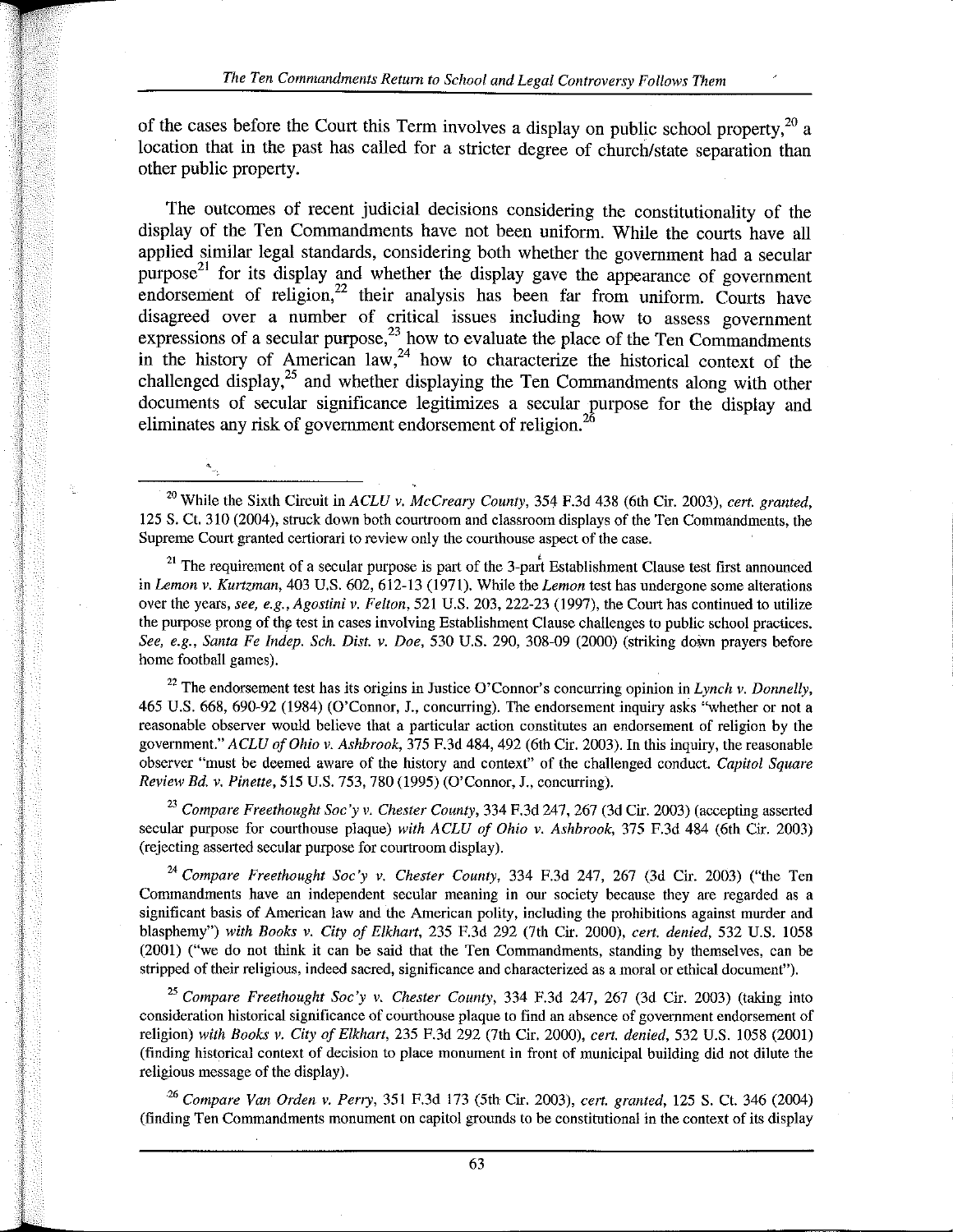of the cases before the Court this Term involves a display on public school property,<sup>20</sup> a location that in the past has called for a stricter degree of church/state separation than other public property.

The outcomes of recent judicial decisions considering the constitutionality of the display of the Ten Commandments have not been uniform. While the courts have all applied similar legal standards, considering both whether the government had a secular  $\mu$ <sub>purpose</sub><sup>21</sup> for its display and whether the display gave the appearance of government endorsement of religion,<sup>22</sup> their analysis has been far from uniform. Courts have disagreed over a number of critical issues including how to assess government expressions of a secular purpose,  $^{23}$  how to evaluate the place of the Ten Commandments in the history of American law,  $24$  how to characterize the historical context of the challenged display,<sup>25</sup> and whether displaying the Ten Commandments along with other documents of secular significance legitimizes a secular purpose for the display and eliminates any risk of government endorsement of religion.<sup>26</sup>

20 While the Sixth Circuit in *ACLU v. McCreary County,* 354 F.3d 438 (6th Cir. 2003), *cert. granted,*  125 S. Ct. 310 (2004), struck down both courtroom and classroom displays of the Ten Commandments, the Supreme Court granted certiorari to review only the courthouse aspect of the case.<br><sup>21</sup> The requirement of a secular purpose is part of the 3-part Establishment Clause test first announced

in *Lemon v. Kurtzman,* 403 U.S. 602, 612-13 (1971). While the *Lemon* test has undergone some alterations over the years, *see, e.g., Agostini v. Felton,* 521 U.S. 203,222-23 (1997), the Court has continued to utilize the purpose prong of the test in cases involving Establishment Clause challenges to public school practices. *See, e.g., Santa Fe Indep. Sch. Dist. v. Doe,* 530 U.S. 290, 308-09 (2000) (striking down prayers before home football games).

<sup>22</sup>The endorsement test has its origins in Justice O'Connor's concurring opinion in *Lynch* v. *Donnelly,*  465 U.S. 668, 690-92 (1984) (O'Connor, L, concurring). The endorsement inquiry asks "whether or not a reasonable observer would believe that a particular action constitutes an endorsement of religion by the government." *ACLU of Ohio* v. *Ashbrook,* 375 F.3d 484, 492 (6th Cir. 2003). In this inquiry, the reasonable observer "must be deemed aware of the history and context" of the challenged conduct. *Capitol Square Review Bd. v. Pinette,* 515 U.S. 753, 780 (1995) (O'Connor, J., concurring).

<sup>23</sup>*Compare Freethought Soc'y v. Chester County,* 334 F.3d 247, 267 (3d Cir. 2003) (accepting asserted secular purpose for courthouse plaque) *with ACLU of Ohio v. Ashbrook,* 375 F.3d 484 (6th Cir. 2003) (rejecting asserted secular purpose for courtroom display).

*24 Compare Freethought Soc'y* v. *Chester County,* 334 F.3d 247, 267 (3d Cir. 2003) ("the Ten Commandments have an independent secular meaning in our society because they are regarded as a significant basis of American law and the American polity, including the prohibitions against murder and blasphemy") *with Books* v. *City of Elkhart,* 235 F.3d 292 (7th Cir. 2000), *cert. denied,* 532 U.S. 1058 (2001) ("we do not think it can be said that the Ten Commandments, standing by themselves, can be stripped of their religious, indeed sacred, significance and characterized as a moral or ethical document").

<sup>25</sup>*Compare Freethought Soc'y* v. *Chester County,* 334 F.3d 247, 267 (3d Cir. 2003) (taking into **consideration historical significance of courthouse plaque to find an absence of government endorsement of**  religion) *with Books* v. *City of Elkhart,* 235 F.3d 292 (7th Cir. 2000), *cert. denied,* 532 U.S. 1058 (2001) (finding historical context of decision to place monument in front of municipal building did not dilute the religious message of the display).

*26 Compare Van Orden v. Perry,* 351 F.3d 173 (5th Cir. 2003), *cert. granted,* 125 S. ct. 346 (2004) (finding Ten Commandments monument on capitol grounds to be constitutional in the context of its display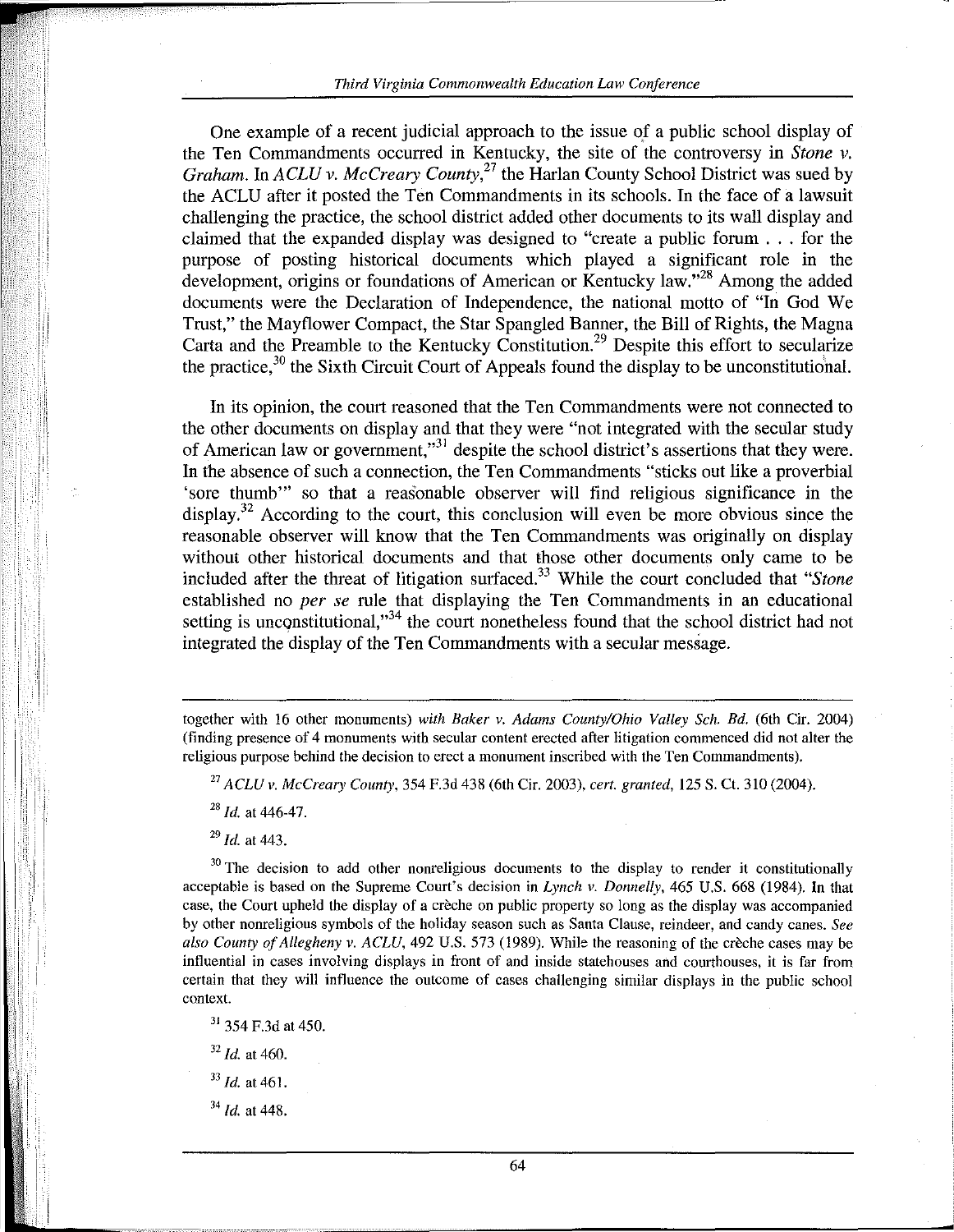One example of a recent judicial approach to the issue of a public school display of the Ten Commandments occurred in Kentucky, the site of the controversy in *Stone* v. *Graham.* In *ACLU v. McCreary County*,<sup>27</sup> the Harlan County School District was sued by the ACLU after it posted the Ten Commandments in its schools. In the face of a lawsuit challenging the practice, the school district added other documents to its wall display and claimed that the expanded display was designed to "create a public forum ... for the purpose of posting historical documents which played a significant role in the development, origins or foundations of American or Kentucky law."<sup>28</sup> Among the added documents were the Declaration of Independence, the national motto of "In God We Trust," the Mayflower Compact, the Star Spangled Banner, the Bill of Rights, the Magna Carta and the Preamble to the Kentucky Constitution.<sup>29</sup> Despite this effort to secularize the practice, $30$  the Sixth Circuit Court of Appeals found the display to be unconstitutional.

In its opinion, the court reasoned that the Ten Commandments were not connected to the other documents on display and that they were "not integrated with the secular study of American law or government," $31$  despite the school district's assertions that they were. In the absence of such a connection, the Ten Commandments "sticks out like a proverbial 'sore thumb'" so that a reasonable observer will find religious significance in the display.<sup>32</sup> According to the court, this conclusion will even be more obvious since the reasonable observer will know that the Ten Commandments was originally on display without other historical documents and that those other documents only came to be included after the threat of litigation surfaced.<sup>33</sup> While the court concluded that *"Stone* established no *per se* rule that displaying the Ten Commandments in an educational setting is unconstitutional, $^{34}$  the court nonetheless found that the school district had not integrated the display of the Ten Commandments with a secular message.

<sup>27</sup>*ACLU v. McCreary County,* 354 F.3d 438 (6th Cir. 2003), *cert. granted,* 125 S. Ct. 310 (2004).

*28 [d.* at 446-47.

*29 [d.* at 443.

 $30$  The decision to add other nonreligious documents to the display to render it constitutionally acceptable is based on the Supreme Court's decision in *Lynch v. Donnelly,* 465 U.S. 668 (1984). In that case, the Court upheld the display of a creche on public property so long as the display was accompanied by other nonreligious symbols of the holiday season such as Santa Clause, reindeer, and candy canes. *See also County ofAllegheny* v. *ACLU,* 492 U.S. 573 (1989). While the reasoning of the creche cases may be **influential in** cases **involving displays in front of and inside statehouses and courthouses, it is far from**  certain that they will influence the outcome of cases challenging similar displays in the public school **context.** 

<sup>31</sup> 354 F.3d at 450.

<sup>32</sup> *Id.* at 460.

<sup>33</sup>*Id.* at 461.

 $34$  *Id.* at 448.

**...** 

together with 16 other monuments) *with Baker v. Adams County/Ohio Valley Sch. Bd.* (6th Cir. 2004) (finding presence of 4 monuments with secular content erected after litigation commenced did not alter the religious purpose behind the decision to erect a monument inscribed with the Ten Commandments).